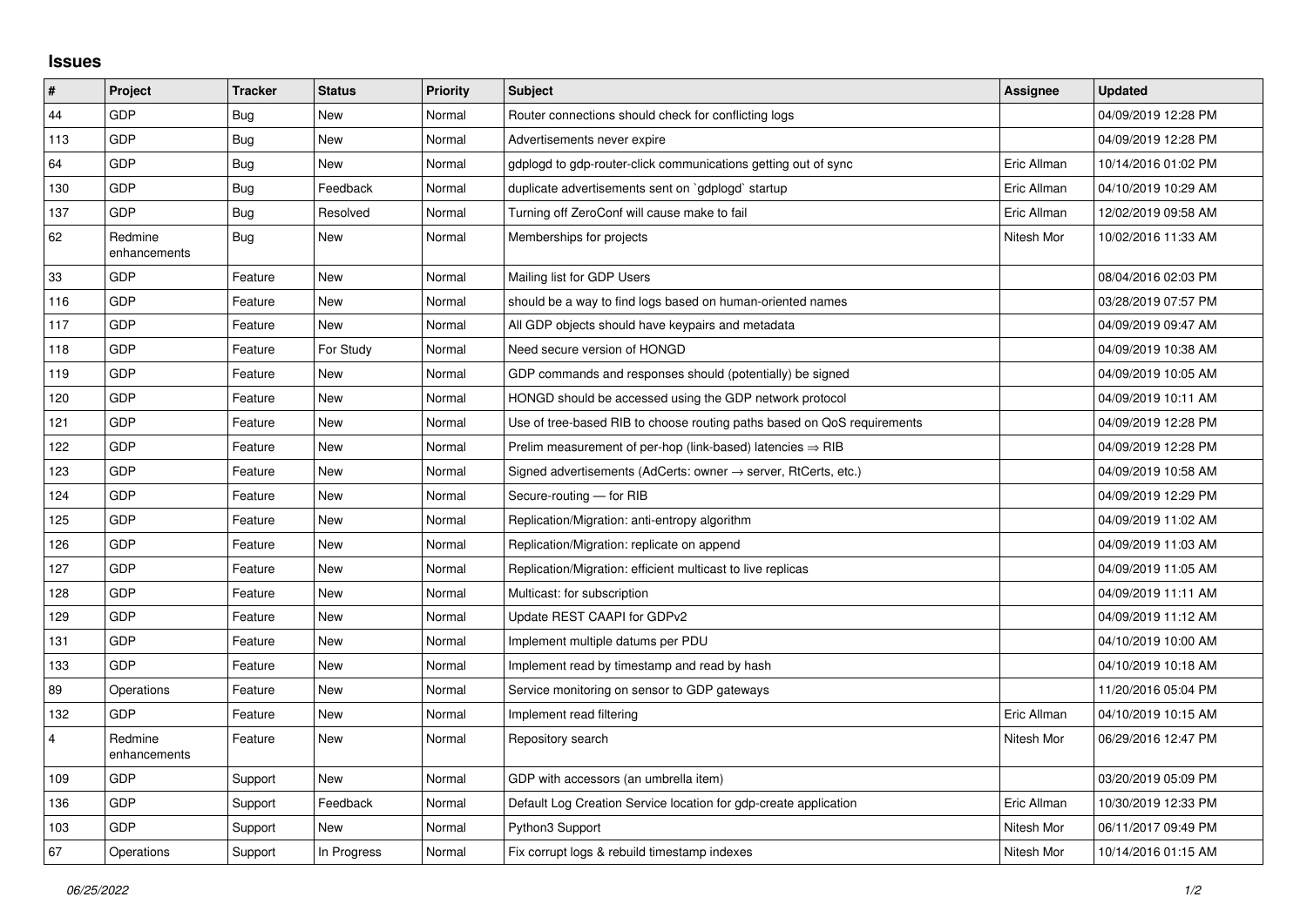## **Issues**

| $\vert$ #      | Project                 | <b>Tracker</b> | <b>Status</b> | <b>Priority</b> | <b>Subject</b>                                                          | Assignee    | <b>Updated</b>      |
|----------------|-------------------------|----------------|---------------|-----------------|-------------------------------------------------------------------------|-------------|---------------------|
| 44             | GDP                     | Bug            | New           | Normal          | Router connections should check for conflicting logs                    |             | 04/09/2019 12:28 PM |
| 113            | GDP                     | Bug            | <b>New</b>    | Normal          | Advertisements never expire                                             |             | 04/09/2019 12:28 PM |
| 64             | GDP                     | Bug            | <b>New</b>    | Normal          | gdplogd to gdp-router-click communications getting out of sync          | Eric Allman | 10/14/2016 01:02 PM |
| 130            | GDP                     | Bug            | Feedback      | Normal          | duplicate advertisements sent on `gdplogd` startup                      | Eric Allman | 04/10/2019 10:29 AM |
| 137            | GDP                     | <b>Bug</b>     | Resolved      | Normal          | Turning off ZeroConf will cause make to fail                            | Eric Allman | 12/02/2019 09:58 AM |
| 62             | Redmine<br>enhancements | Bug            | New           | Normal          | Memberships for projects                                                | Nitesh Mor  | 10/02/2016 11:33 AM |
| 33             | GDP                     | Feature        | New           | Normal          | Mailing list for GDP Users                                              |             | 08/04/2016 02:03 PM |
| 116            | GDP                     | Feature        | New           | Normal          | should be a way to find logs based on human-oriented names              |             | 03/28/2019 07:57 PM |
| 117            | <b>GDP</b>              | Feature        | <b>New</b>    | Normal          | All GDP objects should have keypairs and metadata                       |             | 04/09/2019 09:47 AM |
| 118            | GDP                     | Feature        | For Study     | Normal          | Need secure version of HONGD                                            |             | 04/09/2019 10:38 AM |
| 119            | GDP                     | Feature        | <b>New</b>    | Normal          | GDP commands and responses should (potentially) be signed               |             | 04/09/2019 10:05 AM |
| 120            | GDP                     | Feature        | New           | Normal          | HONGD should be accessed using the GDP network protocol                 |             | 04/09/2019 10:11 AM |
| 121            | GDP                     | Feature        | New           | Normal          | Use of tree-based RIB to choose routing paths based on QoS requirements |             | 04/09/2019 12:28 PM |
| 122            | GDP                     | Feature        | <b>New</b>    | Normal          | Prelim measurement of per-hop (link-based) latencies $\Rightarrow$ RIB  |             | 04/09/2019 12:28 PM |
| 123            | GDP                     | Feature        | New           | Normal          | Signed advertisements (AdCerts: owner → server, RtCerts, etc.)          |             | 04/09/2019 10:58 AM |
| 124            | GDP                     | Feature        | <b>New</b>    | Normal          | Secure-routing - for RIB                                                |             | 04/09/2019 12:29 PM |
| 125            | GDP                     | Feature        | <b>New</b>    | Normal          | Replication/Migration: anti-entropy algorithm                           |             | 04/09/2019 11:02 AM |
| 126            | GDP                     | Feature        | New           | Normal          | Replication/Migration: replicate on append                              |             | 04/09/2019 11:03 AM |
| 127            | GDP                     | Feature        | New           | Normal          | Replication/Migration: efficient multicast to live replicas             |             | 04/09/2019 11:05 AM |
| 128            | GDP                     | Feature        | New           | Normal          | Multicast: for subscription                                             |             | 04/09/2019 11:11 AM |
| 129            | GDP                     | Feature        | New           | Normal          | Update REST CAAPI for GDPv2                                             |             | 04/09/2019 11:12 AM |
| 131            | GDP                     | Feature        | New           | Normal          | Implement multiple datums per PDU                                       |             | 04/10/2019 10:00 AM |
| 133            | GDP                     | Feature        | New           | Normal          | Implement read by timestamp and read by hash                            |             | 04/10/2019 10:18 AM |
| 89             | Operations              | Feature        | <b>New</b>    | Normal          | Service monitoring on sensor to GDP gateways                            |             | 11/20/2016 05:04 PM |
| 132            | GDP                     | Feature        | New           | Normal          | Implement read filtering                                                | Eric Allman | 04/10/2019 10:15 AM |
| $\overline{4}$ | Redmine<br>enhancements | Feature        | New           | Normal          | Repository search                                                       | Nitesh Mor  | 06/29/2016 12:47 PM |
| 109            | GDP                     | Support        | <b>New</b>    | Normal          | GDP with accessors (an umbrella item)                                   |             | 03/20/2019 05:09 PM |
| 136            | GDP                     | Support        | Feedback      | Normal          | Default Log Creation Service location for gdp-create application        | Eric Allman | 10/30/2019 12:33 PM |
| 103            | GDP                     | Support        | <b>New</b>    | Normal          | Python3 Support                                                         | Nitesh Mor  | 06/11/2017 09:49 PM |
| 67             | Operations              | Support        | In Progress   | Normal          | Fix corrupt logs & rebuild timestamp indexes                            | Nitesh Mor  | 10/14/2016 01:15 AM |